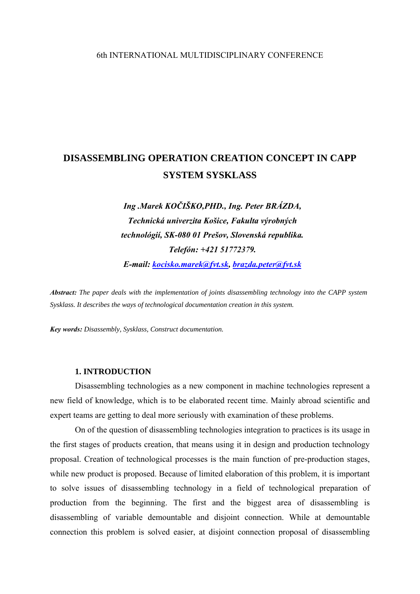### 6th INTERNATIONAL MULTIDISCIPLINARY CONFERENCE

## **DISASSEMBLING OPERATION CREATION CONCEPT IN CAPP SYSTEM SYSKLASS**

# *Ing .Marek KOČIŠKO,PHD., Ing. Peter BRÁZDA, Technická univerzita Košice, Fakulta výrobných technológií, SK-080 01 Prešov, Slovenská republika. Telefón: +421 51772379. E-mail: [kocisko.marek@fvt.sk](mailto:kocisko.marekfvt.sk), [brazda.peter@fvt.sk](mailto:brazda.peter@fvt.sk)*

*Abstract: The paper deals with the implementation of joints disassembling technology into the CAPP system Sysklass. It describes the ways of technological documentation creation in this system.* 

*Key words: Disassembly, Sysklass, Construct documentation.*

#### **1. INTRODUCTION**

Disassembling technologies as a new component in machine technologies represent a new field of knowledge, which is to be elaborated recent time. Mainly abroad scientific and expert teams are getting to deal more seriously with examination of these problems.

 On of the question of disassembling technologies integration to practices is its usage in the first stages of products creation, that means using it in design and production technology proposal. Creation of technological processes is the main function of pre-production stages, while new product is proposed. Because of limited elaboration of this problem, it is important to solve issues of disassembling technology in a field of technological preparation of production from the beginning. The first and the biggest area of disassembling is disassembling of variable demountable and disjoint connection. While at demountable connection this problem is solved easier, at disjoint connection proposal of disassembling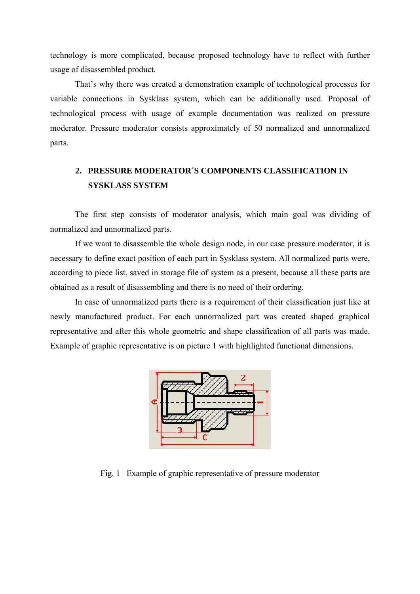technology is more complicated, because proposed technology have to reflect with further usage of disassembled product.

 That's why there was created a demonstration example of technological processes for variable connections in Sysklass system, which can be additionally used. Proposal of technological process with usage of example documentation was realized on pressure moderator. Pressure moderator consists approximately of 50 normalized and unnormalized parts.

## **2. PRESSURE MODERATOR´S COMPONENTS CLASSIFICATION IN SYSKLASS SYSTEM**

The first step consists of moderator analysis, which main goal was dividing of normalized and unnormalized parts.

If we want to disassemble the whole design node, in our case pressure moderator, it is necessary to define exact position of each part in Sysklass system. All normalized parts were, according to piece list, saved in storage file of system as a present, because all these parts are obtained as a result of disassembling and there is no need of their ordering.

 In case of unnormalized parts there is a requirement of their classification just like at newly manufactured product. For each unnormalized part was created shaped graphical representative and after this whole geometric and shape classification of all parts was made. Example of graphic representative is on picture 1 with highlighted functional dimensions.



Fig. 1 Example of graphic representative of pressure moderator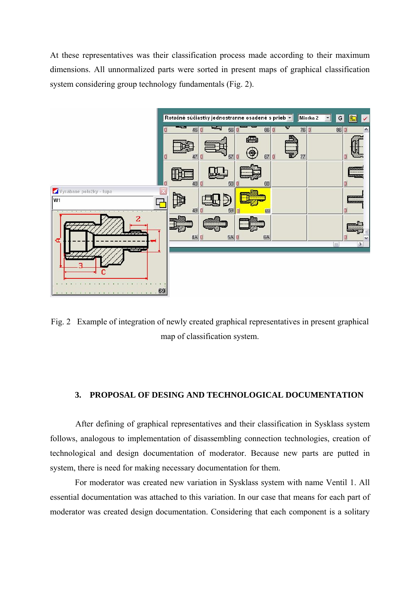At these representatives was their classification process made according to their maximum dimensions. All unnormalized parts were sorted in present maps of graphical classification system considering group technology fundamentals (Fig. 2).



Fig. 2 Example of integration of newly created graphical representatives in present graphical map of classification system.

### **3. PROPOSAL OF DESING AND TECHNOLOGICAL DOCUMENTATION**

 After defining of graphical representatives and their classification in Sysklass system follows, analogous to implementation of disassembling connection technologies, creation of technological and design documentation of moderator. Because new parts are putted in system, there is need for making necessary documentation for them.

 For moderator was created new variation in Sysklass system with name Ventil 1. All essential documentation was attached to this variation. In our case that means for each part of moderator was created design documentation. Considering that each component is a solitary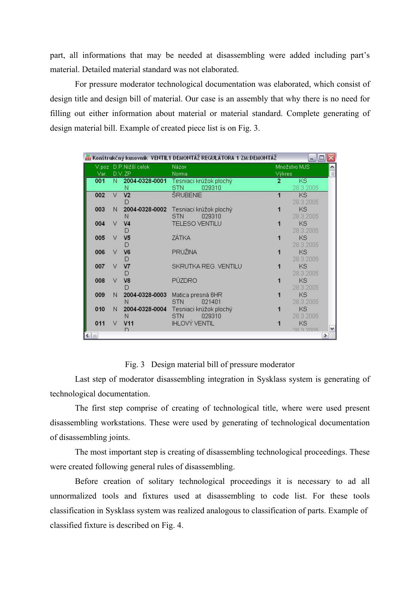part, all informations that may be needed at disassembling were added including part's material. Detailed material standard was not elaborated.

 For pressure moderator technological documentation was elaborated, which consist of design title and design bill of material. Our case is an assembly that why there is no need for filling out either information about material or material standard. Complete generating of design material bill. Example of created piece list is on Fig. 3.

|        |                       |                 | Konštrukčný kusovník VENTIL1 DEMONTÁŽ REGULÁTORA 1 ZM:DEMONTÁŽ |                |              |  |  |  |  |
|--------|-----------------------|-----------------|----------------------------------------------------------------|----------------|--------------|--|--|--|--|
|        | V.poz D.P.Nižší celok |                 | <b>Názov</b>                                                   |                | Množstvo MJS |  |  |  |  |
| Var.   | D.V.ZP                |                 | Norma                                                          | Výkres         |              |  |  |  |  |
| 001    |                       |                 | N 2004-0328-0001 Tesniaci krúžok plochý                        | $\overline{2}$ | <b>KS</b>    |  |  |  |  |
|        |                       | N               | 029310<br>STN                                                  |                | 28.3.2005    |  |  |  |  |
| 002    | V                     | V <sub>2</sub>  | <b>SRUBENIE</b>                                                |                | KS.          |  |  |  |  |
|        |                       |                 |                                                                |                | 28.3.2005    |  |  |  |  |
| 003    | N                     | 2004-0328-0002  | Tesniaci krúžok plochý                                         |                | KS           |  |  |  |  |
|        |                       | N               | 029310<br><b>STN</b>                                           |                | 28.3.2005    |  |  |  |  |
| 004    | V                     | V <sub>4</sub>  | <b>TELESO VENTILU</b>                                          |                | KS           |  |  |  |  |
|        |                       | D               |                                                                |                | 28.3.2005    |  |  |  |  |
| 005    | v                     | V <sub>5</sub>  | <b>ZÁTKA</b>                                                   |                | KS           |  |  |  |  |
|        |                       | D               |                                                                |                | 28.3.2005    |  |  |  |  |
| 006    | V                     | V <sub>6</sub>  | PRUŽINA                                                        |                | KS           |  |  |  |  |
|        |                       | D               |                                                                |                | 28.3.2005    |  |  |  |  |
| 007    | V                     | V <sub>7</sub>  | SKRUTKA REG. VENTILU                                           |                | KS           |  |  |  |  |
|        |                       | D               |                                                                |                | 28 3 2005    |  |  |  |  |
| 008    | $\vee$                | V <sub>8</sub>  | PÚZDRO                                                         |                | KS           |  |  |  |  |
|        |                       |                 |                                                                |                | 28.3.2005    |  |  |  |  |
| 009    | N                     | 2004-0328-0003  | Matica presná 6HR                                              |                | <b>KS</b>    |  |  |  |  |
|        |                       | N               | 021401<br><b>STN</b>                                           |                | 28.3.2005    |  |  |  |  |
| 010    | N                     | 2004-0328-0004  | Tesniaci krúžok plochý                                         |                | KS           |  |  |  |  |
|        |                       | N               | 029310<br><b>STN</b>                                           |                | 28.3.2005    |  |  |  |  |
| 011    | V                     | V <sub>11</sub> | <b>IHLOVÝ VENTIL</b>                                           |                | KS           |  |  |  |  |
|        |                       |                 |                                                                |                | 28.3.2005    |  |  |  |  |
| $\leq$ |                       |                 |                                                                |                |              |  |  |  |  |

Fig. 3 Design material bill of pressure moderator

Last step of moderator disassembling integration in Sysklass system is generating of technological documentation.

 The first step comprise of creating of technological title, where were used present disassembling workstations. These were used by generating of technological documentation of disassembling joints.

 The most important step is creating of disassembling technological proceedings. These were created following general rules of disassembling.

 Before creation of solitary technological proceedings it is necessary to ad all unnormalized tools and fixtures used at disassembling to code list. For these tools classification in Sysklass system was realized analogous to classification of parts. Example of classified fixture is described on Fig. 4.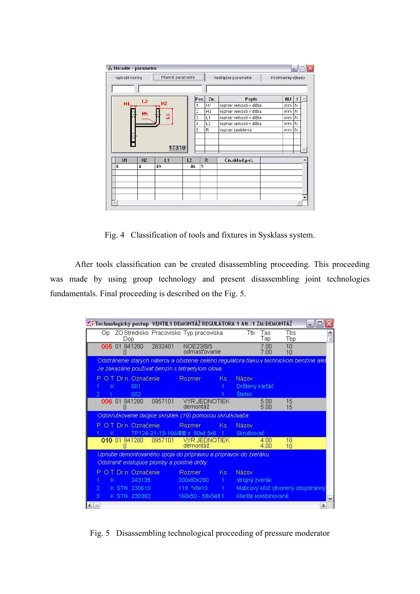| Vybraté normy<br>Hlavné parametre |                |                |    |                  |                | Vedľajšie parametre     |    | Podmienky výberu |   |  |  |
|-----------------------------------|----------------|----------------|----|------------------|----------------|-------------------------|----|------------------|---|--|--|
|                                   | L <sub>2</sub> |                |    | Por.             | Zn.            | Popis                   |    | MJ               |   |  |  |
| H1                                |                | H <sub>2</sub> |    | 1                | H1             | rozmer velkosti = dlžka | mm |                  | N |  |  |
|                                   | <b>R5</b>      |                |    | $\overline{2}$ . | H <sub>2</sub> | rozmer velkosti = dlžka |    | mm               | N |  |  |
|                                   |                | ≊              |    | З.               | L1             | rozmer velkosti = dlžka | mm |                  | N |  |  |
|                                   |                |                |    | 4.               | L2             | rozmer velkosti = dlžka | mm |                  | N |  |  |
|                                   |                |                |    | 5.               | R              | rozmer zaoblenia        | mm |                  | N |  |  |
|                                   |                | 17310          |    |                  |                |                         |    |                  |   |  |  |
| H1                                | H2             | L1             | L2 |                  | $\mathbf R$    | Čís.sklad.pol.          |    |                  |   |  |  |
| 8                                 | 4              | 49             |    | 5<br>46          |                |                         |    |                  |   |  |  |
|                                   |                |                |    |                  |                |                         |    |                  |   |  |  |

Fig. 4 Classification of tools and fixtures in Sysklass system.

After tools classification can be created disassembling proceeding. This proceeding was made by using group technology and present disassembling joint technologies fundamentals. Final proceeding is described on the Fig. 5.

| ## Technologický postup VENTIL1 DEMONTÁŽ REGULÁTORA 1 Alt.:1 ZM:DEMONTÁŽ                                                                      |                               |                                  |                      |                                          |              |                                    | ÷             |  |  |  |  |  |
|-----------------------------------------------------------------------------------------------------------------------------------------------|-------------------------------|----------------------------------|----------------------|------------------------------------------|--------------|------------------------------------|---------------|--|--|--|--|--|
| ZO Stredisko Pracovisko Typ pracoviska<br>Op.<br>Dop                                                                                          |                               |                                  |                      | Ttk                                      | Tas<br>Tap   | Tbs<br>Tbp                         | ۸<br>₿        |  |  |  |  |  |
| 841280<br>005 01                                                                                                                              | 2632401                       | NOE23/8/5<br>odmasťovanie        |                      |                                          | 7.00<br>7.00 | 10<br>1 <sub>0</sub>               |               |  |  |  |  |  |
| Odstránenie starých náterov a očistenie celého regulátora tlaku v technickom benzíne alet<br>Je zakazáne používať benzín s tetraetylom olova. |                               |                                  |                      |                                          |              |                                    |               |  |  |  |  |  |
| O.T. Dr.n. Označenie<br>P<br>001<br>Κ<br>2<br>002                                                                                             |                               | <b>Rozmer</b>                    | Ks:                  | Názov<br>Drôtený kartáč<br><b>Štetec</b> |              |                                    |               |  |  |  |  |  |
| 006 01 841280                                                                                                                                 | 0957101                       | <b>VYR JEDNOTIEK</b><br>demontáž |                      |                                          | 5.00<br>5.00 | 15<br>15                           |               |  |  |  |  |  |
| Odskrutkovanie dvojice skrutiek (19) pomocou skrutkovača.                                                                                     |                               |                                  |                      |                                          |              |                                    |               |  |  |  |  |  |
| O T Dr.n. Označenie<br>Р.                                                                                                                     |                               | <b>Rozmer</b>                    | Ks.                  | Názov                                    |              |                                    |               |  |  |  |  |  |
| ĸ                                                                                                                                             | TP124-21-13-166/45 x 80x4.5x8 |                                  | 4.                   | Skrutkovač                               |              |                                    |               |  |  |  |  |  |
| 010 01 841280                                                                                                                                 | 0957101                       | <b>VYR JEDNOTIEK</b><br>demontáž |                      |                                          | 4.00<br>4.00 | 10<br>10                           |               |  |  |  |  |  |
| Upnutie demontovaného spoja do prípravku a prípravok do zveráku.                                                                              |                               |                                  |                      |                                          |              |                                    |               |  |  |  |  |  |
| Odstraniť existujúce plomby a poistné drôty.                                                                                                  |                               |                                  |                      |                                          |              |                                    |               |  |  |  |  |  |
| O.T. Dr.n. Označenie<br>P.                                                                                                                    |                               | Rozmer                           | Ks.                  | Názov                                    |              |                                    |               |  |  |  |  |  |
| 243135<br>ĸ                                                                                                                                   |                               | 200x80x280                       |                      | strojný zverák                           |              |                                    |               |  |  |  |  |  |
| $\overline{2}$<br>K STN<br>230610                                                                                                             |                               | 119 *x9x10                       | $\ddot{\phantom{1}}$ |                                          |              | Maticový kľúč otvorený obojstranný |               |  |  |  |  |  |
| 230382<br>я.<br>K STN                                                                                                                         |                               | 160x50 - 58x3481                 |                      | Kliešte kombinované                      |              |                                    | $\checkmark$  |  |  |  |  |  |
| $\leftarrow$                                                                                                                                  |                               |                                  |                      |                                          |              |                                    | $\rightarrow$ |  |  |  |  |  |

Fig. 5 Disassembling technological proceeding of pressure moderator